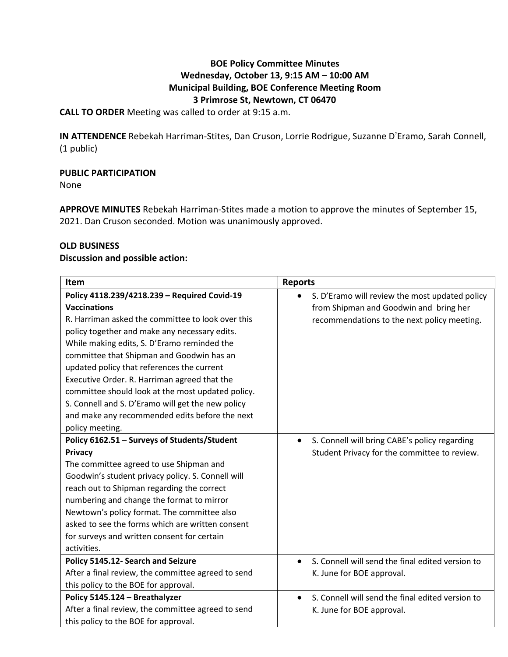# **BOE Policy Committee Minutes Wednesday, October 13, 9:15 AM – 10:00 AM Municipal Building, BOE Conference Meeting Room 3 Primrose St, Newtown, CT 06470**

**CALL TO ORDER** Meeting was called to order at 9:15 a.m.

**IN ATTENDENCE** Rebekah Harriman-Stites, Dan Cruson, Lorrie Rodrigue, Suzanne D'Eramo, Sarah Connell, (1 public)

# **PUBLIC PARTICIPATION**

None

**APPROVE MINUTES** Rebekah Harriman-Stites made a motion to approve the minutes of September 15, 2021. Dan Cruson seconded. Motion was unanimously approved.

# **OLD BUSINESS**

### **Discussion and possible action:**

| <b>Item</b>                                        | <b>Reports</b>                                   |
|----------------------------------------------------|--------------------------------------------------|
| Policy 4118.239/4218.239 - Required Covid-19       | S. D'Eramo will review the most updated policy   |
| <b>Vaccinations</b>                                | from Shipman and Goodwin and bring her           |
| R. Harriman asked the committee to look over this  | recommendations to the next policy meeting.      |
| policy together and make any necessary edits.      |                                                  |
| While making edits, S. D'Eramo reminded the        |                                                  |
| committee that Shipman and Goodwin has an          |                                                  |
| updated policy that references the current         |                                                  |
| Executive Order. R. Harriman agreed that the       |                                                  |
| committee should look at the most updated policy.  |                                                  |
| S. Connell and S. D'Eramo will get the new policy  |                                                  |
| and make any recommended edits before the next     |                                                  |
| policy meeting.                                    |                                                  |
| Policy 6162.51 - Surveys of Students/Student       | S. Connell will bring CABE's policy regarding    |
| Privacy                                            | Student Privacy for the committee to review.     |
| The committee agreed to use Shipman and            |                                                  |
| Goodwin's student privacy policy. S. Connell will  |                                                  |
| reach out to Shipman regarding the correct         |                                                  |
| numbering and change the format to mirror          |                                                  |
| Newtown's policy format. The committee also        |                                                  |
| asked to see the forms which are written consent   |                                                  |
| for surveys and written consent for certain        |                                                  |
| activities.                                        |                                                  |
| Policy 5145.12- Search and Seizure                 | S. Connell will send the final edited version to |
| After a final review, the committee agreed to send | K. June for BOE approval.                        |
| this policy to the BOE for approval.               |                                                  |
| Policy 5145.124 - Breathalyzer                     | S. Connell will send the final edited version to |
| After a final review, the committee agreed to send | K. June for BOE approval.                        |
| this policy to the BOE for approval.               |                                                  |